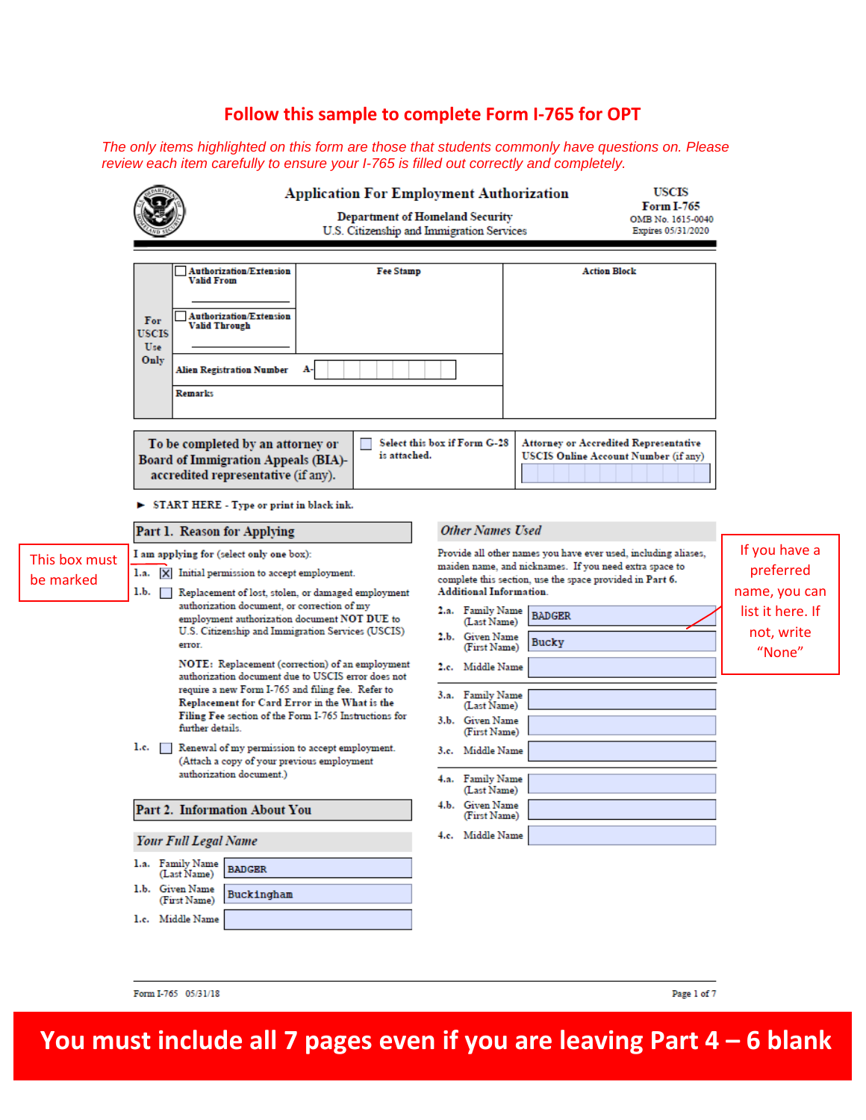# **Follow this sample to complete Form I-765 for OPT**

*The only items highlighted on this form are those that students commonly have questions on. Please review each item carefully to ensure your I-765 is filled out correctly and completely.*

|                            |                                                                                                                                                                                                                                                                                                                                                                                                                                                                                                                                                                                                                                                                                                                        | <b>Application For Employment Authorization</b><br><b>USCIS</b><br><b>Form I-765</b><br><b>Department of Homeland Security</b><br>OMB No. 1615-0040<br>U.S. Citizenship and Immigration Services<br>Expires 05/31/2020                                                                                                                                                                                                                                          |                                                                                         |
|----------------------------|------------------------------------------------------------------------------------------------------------------------------------------------------------------------------------------------------------------------------------------------------------------------------------------------------------------------------------------------------------------------------------------------------------------------------------------------------------------------------------------------------------------------------------------------------------------------------------------------------------------------------------------------------------------------------------------------------------------------|-----------------------------------------------------------------------------------------------------------------------------------------------------------------------------------------------------------------------------------------------------------------------------------------------------------------------------------------------------------------------------------------------------------------------------------------------------------------|-----------------------------------------------------------------------------------------|
|                            | <b>Authorization/Extension</b><br><b>Fee Stamp</b><br>Valid From<br><b>Authorization/Extension</b><br>For<br>Valid Through<br>USCIS<br>Use<br>Only<br>А-<br><b>Alien Registration Number</b><br><b>Remarks</b>                                                                                                                                                                                                                                                                                                                                                                                                                                                                                                         | <b>Action Block</b>                                                                                                                                                                                                                                                                                                                                                                                                                                             |                                                                                         |
|                            | To be completed by an attorney or<br>is attached.<br><b>Board of Immigration Appeals (BIA)-</b><br>accredited representative (if any).<br>START HERE - Type or print in black ink.                                                                                                                                                                                                                                                                                                                                                                                                                                                                                                                                     | Select this box if Form G-28<br>Attorney or Accredited Representative<br>USCIS Online Account Number (if any)                                                                                                                                                                                                                                                                                                                                                   |                                                                                         |
| This box must<br>be marked | Part 1. Reason for Applying<br>I am applying for (select only one box):<br>1.a.<br>X Initial permission to accept employment.<br>1.b.<br>Replacement of lost, stolen, or damaged employment<br>a sa t<br>authorization document, or correction of my<br>employment authorization document NOT DUE to<br>U.S. Citizenship and Immigration Services (USCIS)<br>error.<br>NOTE: Replacement (correction) of an employment<br>authorization document due to USCIS error does not<br>require a new Form I-765 and filing fee. Refer to<br>Replacement for Card Error in the What is the<br>Filing Fee section of the Form I-765 Instructions for<br>further details.<br>1.c. Renewal of my permission to accept employment. | <b>Other Names Used</b><br>Provide all other names you have ever used, including aliases,<br>maiden name, and nicknames. If you need extra space to<br>complete this section, use the space provided in Part 6.<br><b>Additional Information.</b><br>2.a. Family Name<br><b>BADGER</b><br>(Last Name)<br>2.b. Given Name<br>Bucky<br>(First Name)<br>2.c. Middle Name<br>3.a. Family Name<br>(Last Name)<br>3.b. Given Name<br>(First Name)<br>3.c. Middle Name | If you have a<br>preferred<br>name, you can<br>list it here. If<br>not, write<br>"None" |
|                            | (Attach a copy of your previous employment<br>authorization document.)<br>Part 2. Information About You<br><b>Your Full Legal Name</b><br>1.a. Family Name<br><b>BADGER</b><br>(Last Name)<br>1.b. Given Name<br>Buckingham<br>(First Name)<br>1.c. Middle Name                                                                                                                                                                                                                                                                                                                                                                                                                                                        | 4.a. Family Name<br>(Last Name)<br>4.b. Given Name<br>(First Name)<br>4.c. Middle Name                                                                                                                                                                                                                                                                                                                                                                          |                                                                                         |

Form I-765 05/31/18

Page 1 of 7

**You must include all 7 pages even if you are leaving Part 4 – 6 blank**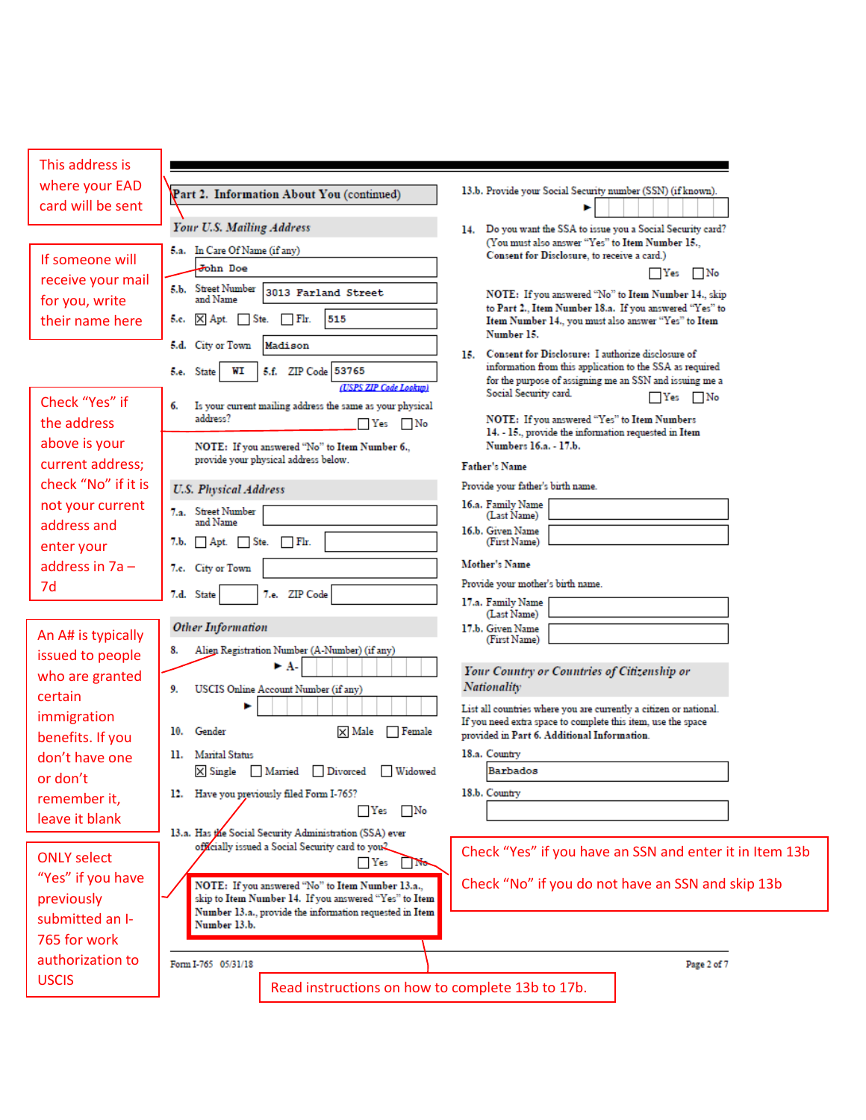| This address is     |                                                                                                                  |                                                                                                                                   |
|---------------------|------------------------------------------------------------------------------------------------------------------|-----------------------------------------------------------------------------------------------------------------------------------|
| where your EAD      |                                                                                                                  | 13.b. Provide your Social Security number (SSN) (if known).                                                                       |
| card will be sent   | Part 2. Information About You (continued)                                                                        |                                                                                                                                   |
|                     | Your U.S. Mailing Address                                                                                        | 14. Do you want the SSA to issue you a Social Security card?<br>(You must also answer "Yes" to Item Number 15.,                   |
| If someone will     | 5.a. In Care Of Name (if any)                                                                                    | Consent for Disclosure, to receive a card.)                                                                                       |
| receive your mail   | John Doe                                                                                                         | $\Box$ Yes<br>No.                                                                                                                 |
| for you, write      | 5.b. Street Number<br>3013 Farland Street<br>and Name                                                            | NOTE: If you answered "No" to Item Number 14., skip                                                                               |
| their name here     | $\Box$ Flr.<br>515<br>5.c. $\times$ Apt.<br>Ste.                                                                 | to Part 2., Item Number 18.a. If you answered "Yes" to<br>Item Number 14., you must also answer "Yes" to Item                     |
|                     | 5.d. City or Town<br>Madison                                                                                     | Number 15.                                                                                                                        |
|                     | 5.f. ZIP Code 53765                                                                                              | 15. Consent for Disclosure: I authorize disclosure of<br>information from this application to the SSA as required                 |
|                     | 5.e. State<br>WI<br>(USPS ZIP Code Lookup)                                                                       | for the purpose of assigning me an SSN and issuing me a                                                                           |
| Check "Yes" if      | Is your current mailing address the same as your physical<br>6.                                                  | Social Security card.<br>Yes No                                                                                                   |
| the address         | address?<br>Yes No                                                                                               | NOTE: If you answered "Yes" to Item Numbers                                                                                       |
| above is your       | NOTE: If you answered "No" to Item Number 6.,                                                                    | 14. - 15., provide the information requested in Item<br>Numbers 16.a. - 17.b.                                                     |
| current address;    | provide your physical address below.                                                                             | <b>Father's Name</b>                                                                                                              |
| check "No" if it is | <b>U.S. Physical Address</b>                                                                                     | Provide your father's birth name.                                                                                                 |
| not your current    | 7.a. Street Number                                                                                               | 16.a. Family Name                                                                                                                 |
| address and         | and Name                                                                                                         | (Last Name)<br>16.b. Given Name                                                                                                   |
| enter your          | 7.b. Apt. Ste. Fir.                                                                                              | (First Name)                                                                                                                      |
| address in $7a -$   | 7.c. City or Town                                                                                                | <b>Mother's Name</b>                                                                                                              |
| 7d                  | 7.e. ZIP Code<br>7.d. State                                                                                      | Provide your mother's birth name.                                                                                                 |
|                     |                                                                                                                  | 17.a. Family Name<br>(Last Name)                                                                                                  |
| An A# is typically  | <b>Other Information</b>                                                                                         | 17.b. Given Name<br>(First Name)                                                                                                  |
| issued to people    | Alien Registration Number (A-Number) (if any)<br>8.                                                              |                                                                                                                                   |
| who are granted     | ► A-                                                                                                             | Your Country or Countries of Citizenship or                                                                                       |
| certain             | 9.<br>USCIS Online Account Number (if any)                                                                       | <b>Nationality</b>                                                                                                                |
| immigration         |                                                                                                                  | List all countries where you are currently a citizen or national.<br>If you need extra space to complete this item, use the space |
| benefits. If you    | Gender<br>$\times$ Male<br>$\Box$ Female<br>10.                                                                  | provided in Part 6. Additional Information.                                                                                       |
| don't have one      | 11. Marital Status                                                                                               | 18.a. Country                                                                                                                     |
| or don't            | X Single Married Divorced Widowed                                                                                | Barbados                                                                                                                          |
| remember it,        | 12. Have you previously filed Form I-765?                                                                        | 18.b. Country                                                                                                                     |
| leave it blank      | ∣ Yes<br>∣ No                                                                                                    |                                                                                                                                   |
|                     | 13.a. Has the Social Security Administration (SSA) ever<br>officially issued a Social Security card to you?      |                                                                                                                                   |
| <b>ONLY select</b>  | $\Box$ Yes<br><b>No.</b>                                                                                         | Check "Yes" if you have an SSN and enter it in Item 13b                                                                           |
| "Yes" if you have   | NOTE: If you answered "No" to Item Number 13.a.,                                                                 | Check "No" if you do not have an SSN and skip 13b                                                                                 |
| previously          | skip to Item Number 14. If you answered "Yes" to Item<br>Number 13.a., provide the information requested in Item |                                                                                                                                   |
| submitted an I-     | Number 13.b.                                                                                                     |                                                                                                                                   |
| 765 for work        |                                                                                                                  |                                                                                                                                   |
| authorization to    | Form I-765 05/31/18                                                                                              | Page 2 of 7                                                                                                                       |
| <b>USCIS</b>        | Read instructions on how to complete 13b to 17b.                                                                 |                                                                                                                                   |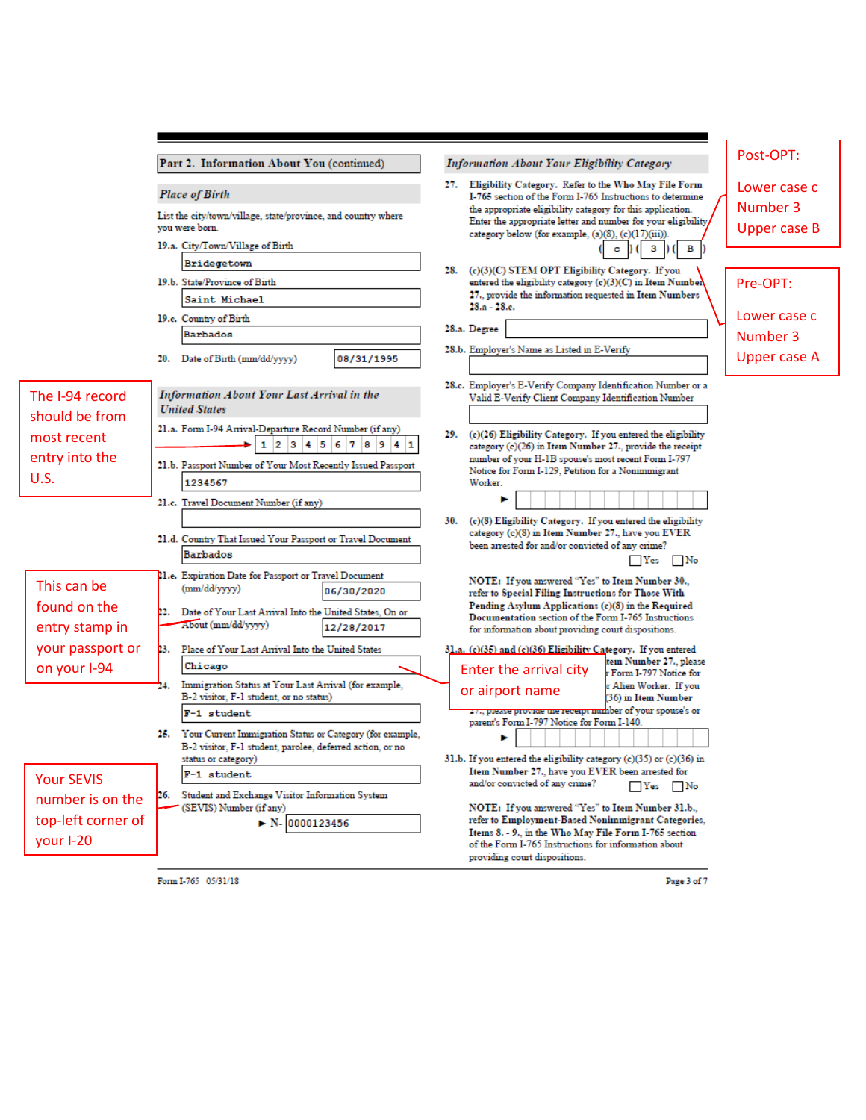|                                | Part 2. Information About You (continued)                                                                                  | <b>Information About Your Eligibility Category</b>                                                                                                                                 | Post-OPT:                       |  |  |  |  |
|--------------------------------|----------------------------------------------------------------------------------------------------------------------------|------------------------------------------------------------------------------------------------------------------------------------------------------------------------------------|---------------------------------|--|--|--|--|
|                                | <b>Place of Birth</b>                                                                                                      | 27. Eligibility Category. Refer to the Who May File Form<br>I-765 section of the Form I-765 Instructions to determine                                                              | Lower case c                    |  |  |  |  |
|                                | List the city/town/village, state/province, and country where<br>vou were born.                                            | the appropriate eligibility category for this application.<br>Enter the appropriate letter and number for your eligibility,<br>category below (for example, (a)(8), (c)(17)(iii)). | Number 3<br><b>Upper case B</b> |  |  |  |  |
|                                | 19.a. City/Town/Village of Birth                                                                                           | 3 <sup>1</sup>                                                                                                                                                                     |                                 |  |  |  |  |
|                                | Bridegetown<br>19.b. State/Province of Birth                                                                               | 28. (c)(3)(C) STEM OPT Eligibility Category. If you<br>entered the eligibility category (c)(3)(C) in Item Number                                                                   | Pre-OPT:                        |  |  |  |  |
|                                | Saint Michael                                                                                                              | 27., provide the information requested in Item Numbers<br>28.a - 28.e.                                                                                                             |                                 |  |  |  |  |
|                                | 19.c. Country of Birth<br><b>Barbados</b>                                                                                  | 28.a. Degree                                                                                                                                                                       | Lower case c<br>Number 3        |  |  |  |  |
|                                | 20. Date of Birth (mm/dd/yyyy)<br>08/31/1995                                                                               | 28.b. Employer's Name as Listed in E-Verify                                                                                                                                        | <b>Upper case A</b>             |  |  |  |  |
| The I-94 record                | <b>Information About Your Last Arrival in the</b><br><b>United States</b>                                                  | 28.c. Employer's E-Verify Company Identification Number or a<br>Valid E-Verify Client Company Identification Number                                                                |                                 |  |  |  |  |
| should be from<br>most recent  | 21.a. Form I-94 Arrival-Departure Record Number (if any)<br>$1 \ 2 \ 3 \ 4 \ 5 \ 6 \ 7 \ 8 \ 9 \ 4 \ 1$                    | 29. (c)(26) Eligibility Category. If you entered the eligibility<br>category (c)(26) in Item Number 27., provide the receipt                                                       |                                 |  |  |  |  |
| entry into the                 | 21.b. Passport Number of Your Most Recently Issued Passport                                                                | number of your H-1B spouse's most recent Form I-797<br>Notice for Form I-129, Petition for a Nonimmigrant                                                                          |                                 |  |  |  |  |
| <b>U.S.</b>                    | 1234567                                                                                                                    | Worker.                                                                                                                                                                            |                                 |  |  |  |  |
|                                | 21.c. Travel Document Number (if any)                                                                                      | (c)(8) Eligibility Category. If you entered the eligibility<br>30.                                                                                                                 |                                 |  |  |  |  |
|                                | 21.d. Country That Issued Your Passport or Travel Document<br>Barbados                                                     | category (c)(8) in Item Number 27., have you EVER<br>been arrested for and/or convicted of any crime?<br>$\Box$ Yes<br>∣ No                                                        |                                 |  |  |  |  |
| This can be                    | 21.e. Expiration Date for Passport or Travel Document<br>(mm/dd/yyyy)<br>06/30/2020                                        | NOTE: If you answered "Yes" to Item Number 30.,<br>refer to Special Filing Instructions for Those With                                                                             |                                 |  |  |  |  |
| found on the<br>entry stamp in | 22. Date of Your Last Arrival Into the United States, On or<br>About (mm/dd/yyyy)<br>12/28/2017                            | Pending Asylum Applications (c)(8) in the Required<br>Documentation section of the Form I-765 Instructions<br>for information about providing court dispositions.                  |                                 |  |  |  |  |
| your passport or               | 23. Place of Your Last Arrival Into the United States                                                                      | 31.a. (c)(35) and (c)(36) Eligibility Category. If you entered                                                                                                                     |                                 |  |  |  |  |
| on your I-94                   | Chicago                                                                                                                    | tem Number 27., please<br>Enter the arrival city<br>r Form I-797 Notice for                                                                                                        |                                 |  |  |  |  |
|                                | Immigration Status at Your Last Arrival (for example,<br>24.<br>B-2 visitor, F-1 student, or no status)                    | r Alien Worker. If you<br>or airport name<br>(36) in Item Number                                                                                                                   |                                 |  |  |  |  |
|                                | F-1 student                                                                                                                | 27., prease provide the receipt number of your spouse's or<br>parent's Form I-797 Notice for Form I-140.                                                                           |                                 |  |  |  |  |
|                                | 25. Your Current Immigration Status or Category (for example,<br>B-2 visitor, F-1 student, parolee, deferred action, or no |                                                                                                                                                                                    |                                 |  |  |  |  |
| <b>Your SEVIS</b>              | status or category)<br>F-1 student                                                                                         | 31.b. If you entered the eligibility category (c)(35) or (c)(36) in<br>Item Number 27., have you EVER been arrested for<br>and/or convicted of any crime?<br>$\Box$ Yes $\Box$ No  |                                 |  |  |  |  |
| number is on the               | 26. Student and Exchange Visitor Information System<br>(SEVIS) Number (if any)                                             | NOTE: If you answered "Yes" to Item Number 31.b.,                                                                                                                                  |                                 |  |  |  |  |
| top-left corner of             | $\triangleright$ N- 0000123456                                                                                             | refer to Employment-Based Nonimmigrant Categories,<br>Items 8. - 9., in the Who May File Form I-765 section                                                                        |                                 |  |  |  |  |
| your I-20                      |                                                                                                                            | of the Form I-765 Instructions for information about<br>providing court dispositions.                                                                                              |                                 |  |  |  |  |
|                                |                                                                                                                            |                                                                                                                                                                                    |                                 |  |  |  |  |

Form I-765 05/31/18

Page 3 of 7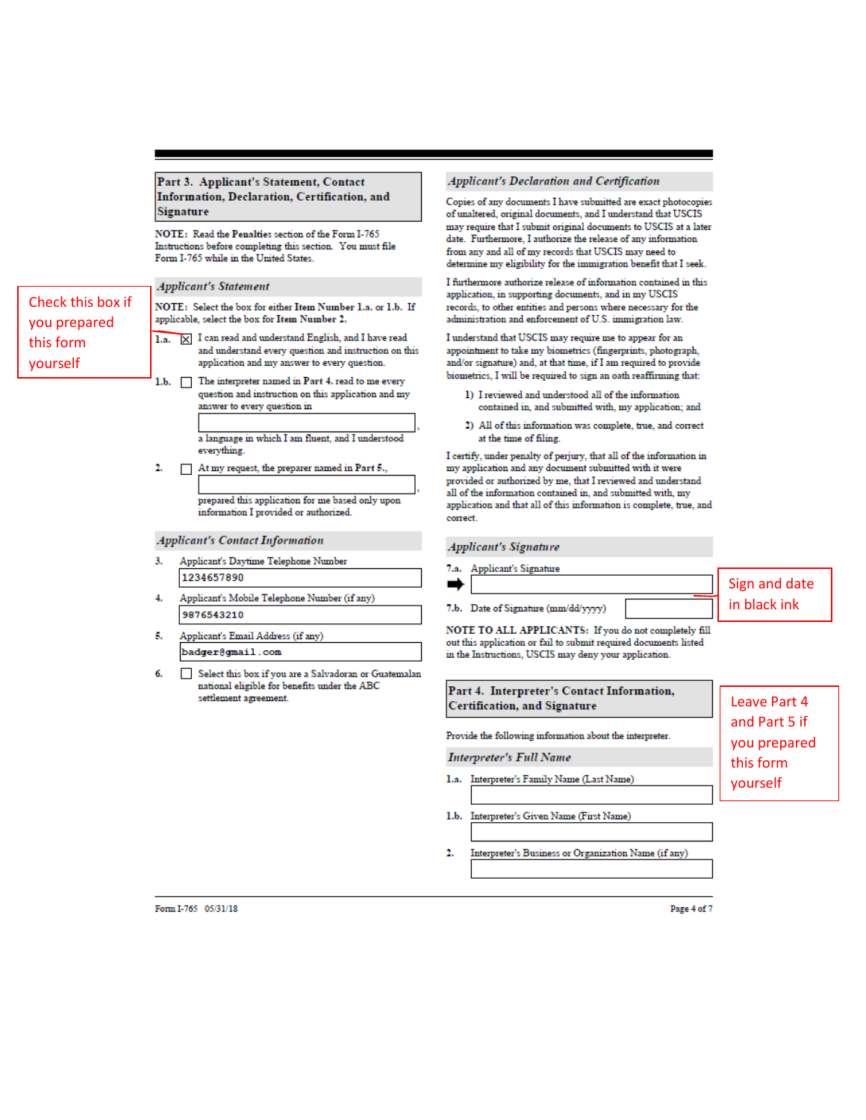#### Part 3. Applicant's Statement, Contact Information, Declaration, Certification, and **Signature**

NOTE: Read the Penalties section of the Form I-765 Instructions before completing this section. You must file Form I-765 while in the United States.

**Applicant's Statement** 

Check this box if

you prepared

this form

vourself

NOTE: Select the box for either Item Number 1.a. or 1.b. If applicable, select the box for Item Number 2.

- 1.a. X I can read and understand English, and I have read and understand every question and instruction on this application and my answer to every question.
- 1.b. The interpreter named in Part 4. read to me every question and instruction on this application and my answer to every question in

a language in which I am fluent, and I understood everything.

2. At my request, the preparer named in Part 5.,

prepared this application for me based only upon information I provided or authorized.

#### **Applicant's Contact Information**

- Applicant's Daytime Telephone Number 3. 1234657890
- Applicant's Mobile Telephone Number (if any) 4. 9876543210
- Applicant's Email Address (if any) 5. badger@gmail.com
- б. Select this box if you are a Salvadoran or Guatemalan national eligible for benefits under the ABC settlement agreement.

#### Applicant's Declaration and Certification

Copies of any documents I have submitted are exact photocopies of unaltered, original documents, and I understand that USCIS may require that I submit original documents to USCIS at a later date. Furthermore, I authorize the release of any information from any and all of my records that USCIS may need to determine my eligibility for the immigration benefit that I seek.

I furthermore authorize release of information contained in this application, in supporting documents, and in my USCIS records, to other entities and persons where necessary for the administration and enforcement of U.S. immigration law.

I understand that USCIS may require me to appear for an appointment to take my biometrics (fingerprints, photograph, and/or signature) and, at that time, if I am required to provide biometrics, I will be required to sign an oath reaffirming that:

- 1) I reviewed and understood all of the information contained in, and submitted with, my application; and
- 2) All of this information was complete, true, and correct at the time of filing.

I certify, under penalty of perjury, that all of the information in my application and any document submitted with it were provided or authorized by me, that I reviewed and understand all of the information contained in, and submitted with, my application and that all of this information is complete, true, and correct.

#### **Applicant's Signature**

| 7.a. Applicant's Signature          |               |
|-------------------------------------|---------------|
|                                     | Sign and date |
| 7.b. Date of Signature (mm/dd/yyyy) | in black ink  |

NOTE TO ALL APPLICANTS: If you do not completely fill out this application or fail to submit required documents listed in the Instructions, USCIS may deny your application.

| Part 4. Interpreter's Contact Information,<br><b>Certification, and Signature</b> | Leave Part 4                  |
|-----------------------------------------------------------------------------------|-------------------------------|
| Provide the following information about the interpreter.                          | and Part 5 if<br>you prepared |
| Interpreter's Full Name                                                           | this form                     |
| 1.a. Interpreter's Family Name (Last Name)                                        | yourself                      |
| 1.b. Interpreter's Given Name (First Name)                                        |                               |

2. Interpreter's Business or Organization Name (if any)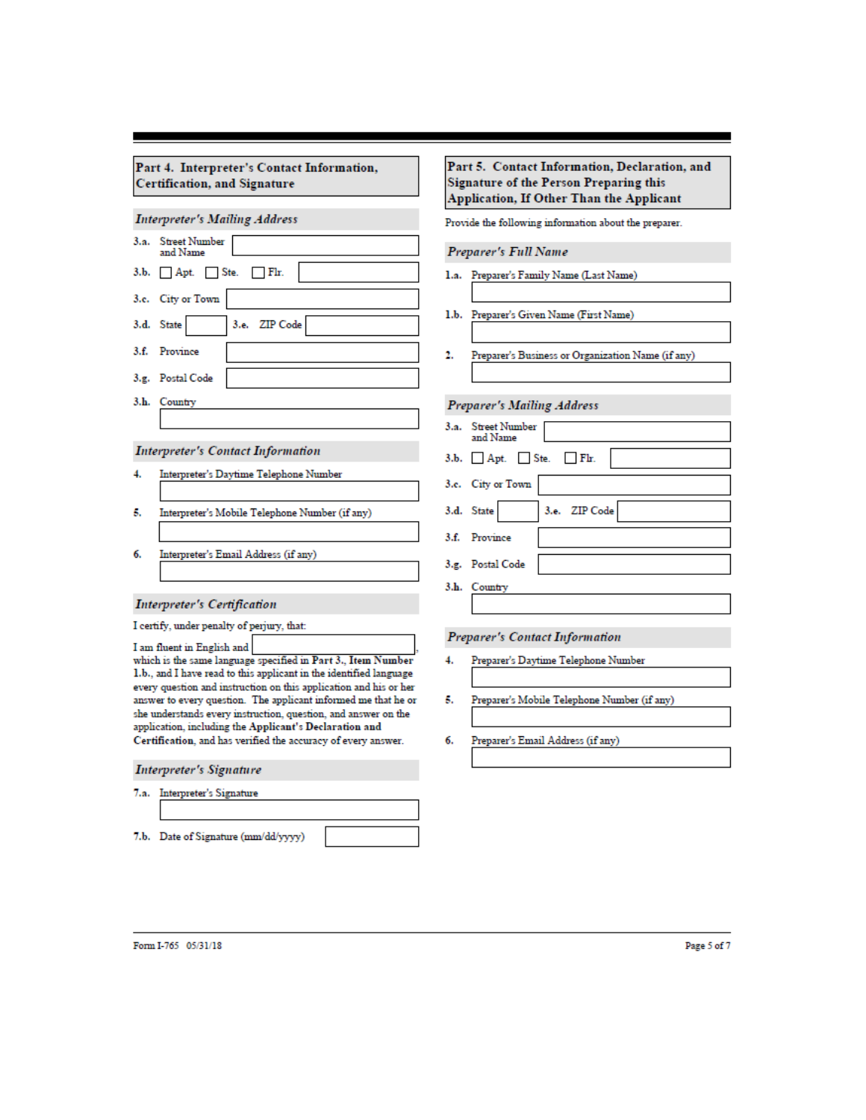| Part 4. Interpreter's Contact Information, |  |
|--------------------------------------------|--|
| Certification, and Signature               |  |

# **Interpreter's Mailing Address**

| 3.a. Street Number<br>and Name           |  |  |  |  |  |  |  |
|------------------------------------------|--|--|--|--|--|--|--|
| $3.b.$ Apt. Ste. Fir.                    |  |  |  |  |  |  |  |
| 3.c. City or Town                        |  |  |  |  |  |  |  |
| 3.d. State 3.e. ZIP Code                 |  |  |  |  |  |  |  |
| 3.f. Province                            |  |  |  |  |  |  |  |
| 3.g. Postal Code                         |  |  |  |  |  |  |  |
| 3.h. Country                             |  |  |  |  |  |  |  |
|                                          |  |  |  |  |  |  |  |
| <b>Interpreter's Contact Information</b> |  |  |  |  |  |  |  |

- Interpreter's Daytime Telephone Number 4.
- Interpreter's Mobile Telephone Number (if any) 5.
- Interpreter's Email Address (if any) 6.

### **Interpreter's Certification**

| I certify, under penalty of perjury, that |  |  |
|-------------------------------------------|--|--|
|-------------------------------------------|--|--|

I am fluent in English and which is the same language specified in Part 3., Item Number 1.b., and I have read to this applicant in the identified language every question and instruction on this application and his or her answer to every question. The applicant informed me that he or she understands every instruction, question, and answer on the application, including the Applicant's Declaration and Certification, and has verified the accuracy of every answer.

# **Interpreter's Signature**

- 7.a. Interpreter's Signature
- 7.b. Date of Signature (mm/dd/yyyy)

### Part 5. Contact Information, Declaration, and **Signature of the Person Preparing this** Application, If Other Than the Applicant

Provide the following information about the preparer.

#### Preparer's Full Name

- 1.a. Preparer's Family Name (Last Name)
- 1.b. Preparer's Given Name (First Name)
- Preparer's Business or Organization Name (if any) 2.

# **Preparer's Mailing Address**

| 3.a. Street Number<br>and Name |
|--------------------------------|
| $3.b.$ Apt. Ste. Fir.          |
| 3.e. City or Town              |
| 3.d. State 3.e. ZIP Code       |
| 3.f. Province                  |
| 3.g. Postal Code               |
| 3.h. Country                   |

# Preparer's Contact Information

- Preparer's Daytime Telephone Number 4.
- Preparer's Mobile Telephone Number (if any) 5.
- Preparer's Email Address (if any) 6.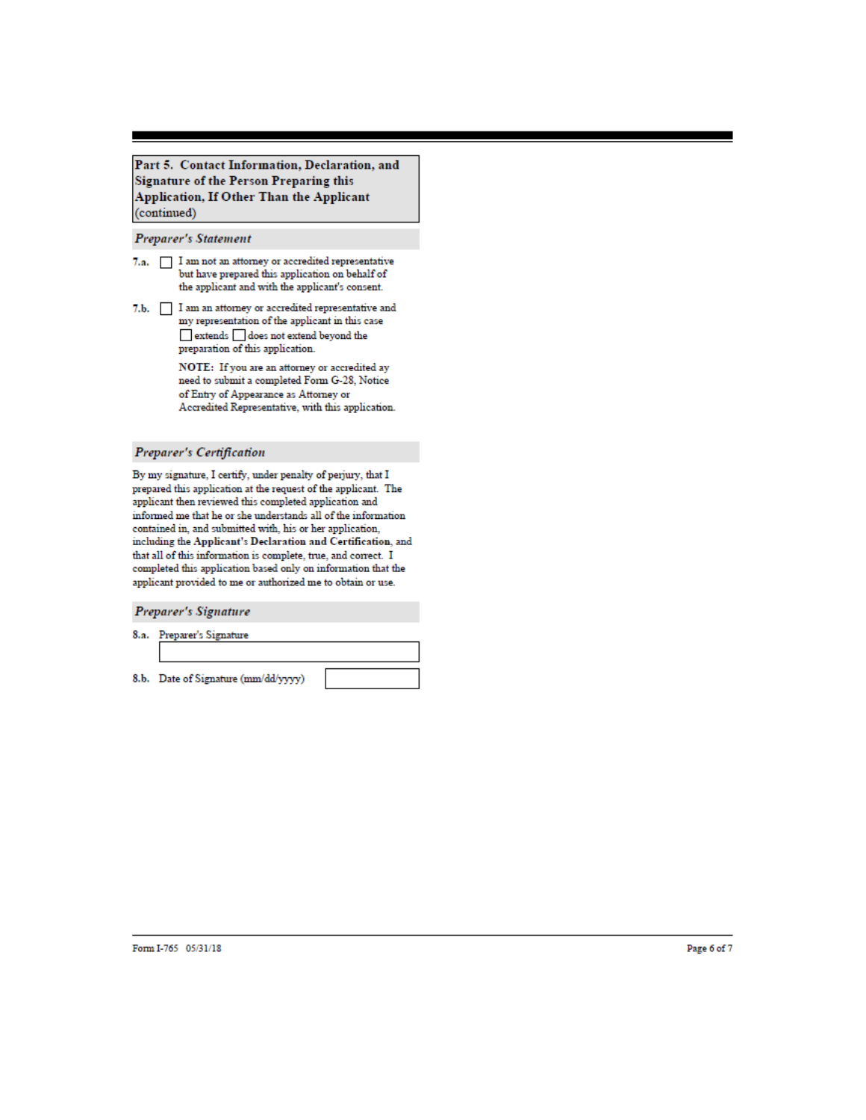Part 5. Contact Information, Declaration, and **Signature of the Person Preparing this** Application, If Other Than the Applicant (continued)

#### Preparer's Statement

- 7.a.  $\Box$  I am not an attorney or accredited representative but have prepared this application on behalf of the applicant and with the applicant's consent.
- 7.b.  $\hfill\Box$  <br> I am an attorney or accredited representative and my representation of the applicant in this case extends does not extend beyond the preparation of this application.

 $\operatorname{NOTE} \colon$  If you are an attorney or accredited ay need to submit a completed Form G-28, Notice of Entry of Appearance as Attorney or Accredited Representative, with this application.

#### **Preparer's Certification**

By my signature, I certify, under penalty of perjury, that I prepared this application at the request of the applicant. The applicant then reviewed this completed application and informed me that he or she understands all of the information contained in, and submitted with, his or her application, including the Applicant's Declaration and Certification, and that all of this information is complete, true, and correct. I completed this application based only on information that the applicant provided to me or authorized me to obtain or use.

Preparer's Signature

8.a. Preparer's Signature

8.b. Date of Signature (mm/dd/yyyy)